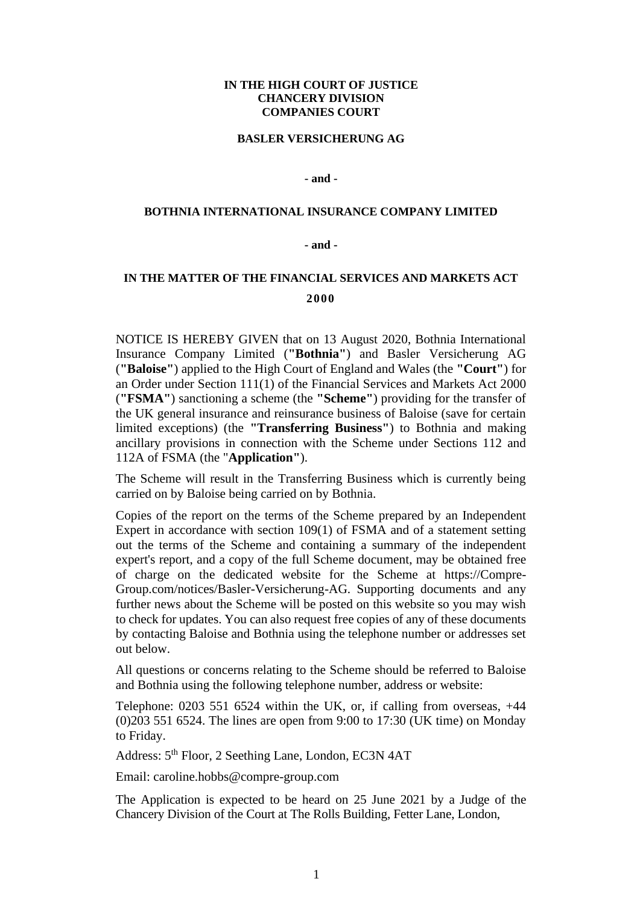# **IN THE HIGH COURT OF JUSTICE CHANCERY DIVISION COMPANIES COURT**

### **BASLER VERSICHERUNG AG**

## **- and -**

## **BOTHNIA INTERNATIONAL INSURANCE COMPANY LIMITED**

### **- and -**

# **IN THE MATTER OF THE FINANCIAL SERVICES AND MARKETS ACT 2000**

NOTICE IS HEREBY GIVEN that on 13 August 2020, Bothnia International Insurance Company Limited (**"Bothnia"**) and Basler Versicherung AG (**"Baloise"**) applied to the High Court of England and Wales (the **"Court"**) for an Order under Section 111(1) of the Financial Services and Markets Act 2000 (**"FSMA"**) sanctioning a scheme (the **"Scheme"**) providing for the transfer of the UK general insurance and reinsurance business of Baloise (save for certain limited exceptions) (the **"Transferring Business"**) to Bothnia and making ancillary provisions in connection with the Scheme under Sections 112 and 112A of FSMA (the "**Application"**).

The Scheme will result in the Transferring Business which is currently being carried on by Baloise being carried on by Bothnia.

Copies of the report on the terms of the Scheme prepared by an Independent Expert in accordance with section 109(1) of FSMA and of a statement setting out the terms of the Scheme and containing a summary of the independent expert's report, and a copy of the full Scheme document, may be obtained free of charge on the dedicated website for the Scheme at https://Compre-Group.com/notices/Basler-Versicherung-AG. Supporting documents and any further news about the Scheme will be posted on this website so you may wish to check for updates. You can also request free copies of any of these documents by contacting Baloise and Bothnia using the telephone number or addresses set out below.

All questions or concerns relating to the Scheme should be referred to Baloise and Bothnia using the following telephone number, address or website:

Telephone: 0203 551 6524 within the UK, or, if calling from overseas, +44 (0)203 551 6524. The lines are open from 9:00 to 17:30 (UK time) on Monday to Friday.

Address: 5th Floor, 2 Seething Lane, London, EC3N 4AT

Email: caroline.hobbs@compre-group.com

The Application is expected to be heard on 25 June 2021 by a Judge of the Chancery Division of the Court at The Rolls Building, Fetter Lane, London,